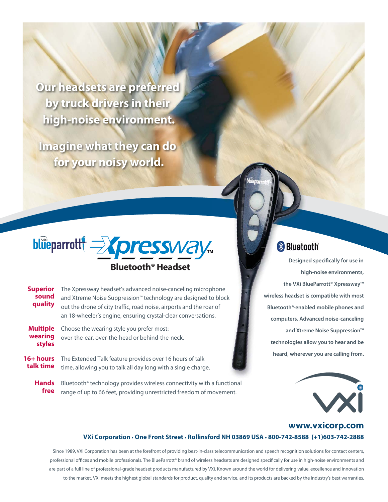**Our headsets are preferred by truck drivers in their high-noise environment.**

**Imagine what they can do for your noisy world.**



## **Bluetooth® Headset**

| <b>Superior</b><br>sound<br>quality  | The Xpressway headset's advanced noise-canceling microphone<br>and Xtreme Noise Suppression <sup>™</sup> technology are designed to block<br>out the drone of city traffic, road noise, airports and the roar of<br>an 18-wheeler's engine, ensuring crystal-clear conversations. |
|--------------------------------------|-----------------------------------------------------------------------------------------------------------------------------------------------------------------------------------------------------------------------------------------------------------------------------------|
| <b>Multiple</b><br>wearing<br>styles | Choose the wearing style you prefer most:<br>over-the-ear, over-the-head or behind-the-neck.                                                                                                                                                                                      |
| $16+ hours$<br>talk time             | The Extended Talk feature provides over 16 hours of talk<br>time, allowing you to talk all day long with a single charge.                                                                                                                                                         |

**Hands free**  Bluetooth® technology provides wireless connectivity with a functional range of up to 66 feet, providing unrestricted freedom of movement.

## **Bluetooth**

**Designed specifically for use in high-noise environments, the VXi BlueParrott® Xpressway™ wireless headset is compatible with most Bluetooth®-enabled mobile phones and computers. Advanced noise-canceling and Xtreme Noise Suppression™ technologies allow you to hear and be heard, wherever you are calling from.** 



## **www.vxicorp.com VXi Corporation • One Front Street • Rollinsford NH 03869 USA • 800-742-8588 (+1)603-742-2888**

Since 1989, VXi Corporation has been at the forefront of providing best-in-class telecommunication and speech recognition solutions for contact centers, professional offices and mobile professionals. The BlueParrott® brand of wireless headsets are designed specifically for use in high-noise environments and are part of a full line of professional-grade headset products manufactured by VXi. Known around the world for delivering value, excellence and innovation to the market, VXi meets the highest global standards for product, quality and service, and its products are backed by the industry's best warranties.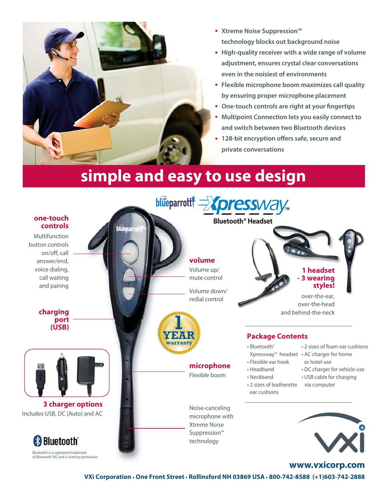

- **• Xtreme Noise Suppression™ technology blocks out background noise**
- **• High-quality receiver with a wide range of volume adjustment, ensures crystal clear conversations even in the noisiest of environments**
- **• Flexible microphone boom maximizes call quality by ensuring proper microphone placement**
- **• One-touch controls are right at your fingertips**
- **• Multipoint Connection lets you easily connect to and switch between two Bluetooth devices**
- **• 128-bit encryption offers safe, secure and private conversations**

## **simple and easy to use design**



**VXi Corporation • One Front Street • Rollinsford NH 03869 USA • 800-742-8588 (+1)603-742-2888**